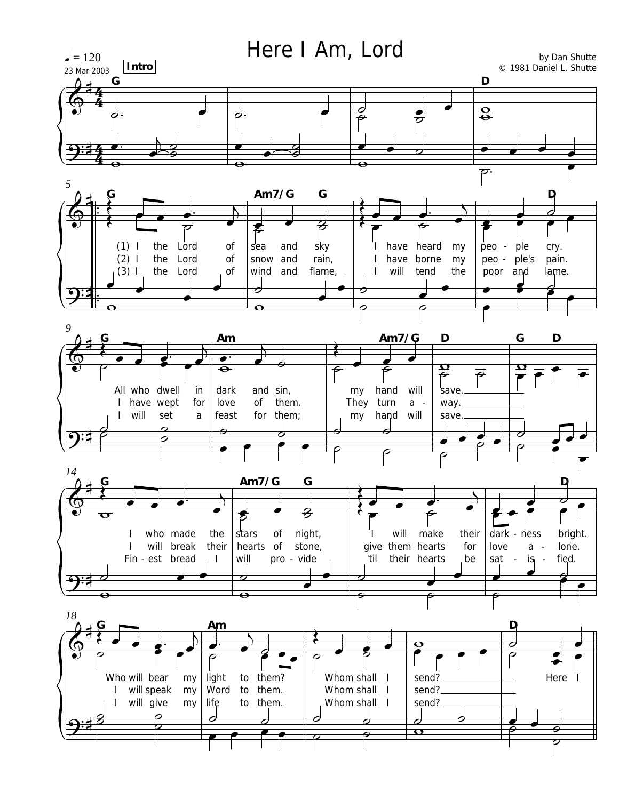